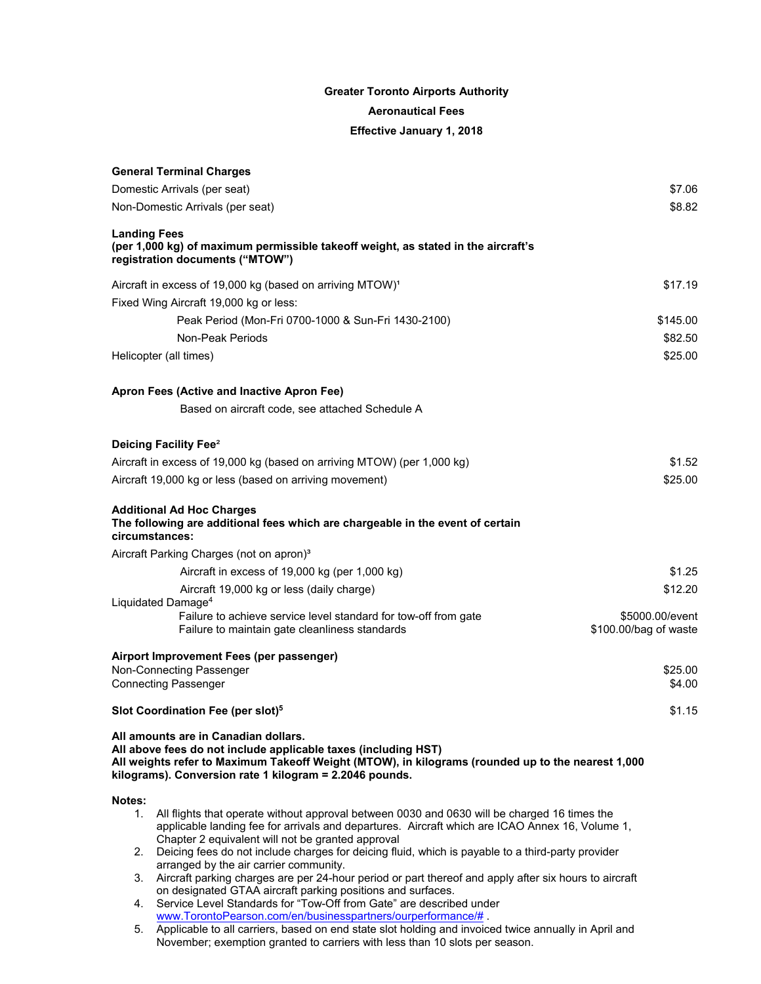## **Greater Toronto Airports Authority Aeronautical Fees Effective January 1, 2018**

| \$7.06<br>Domestic Arrivals (per seat)<br>\$8.82<br>Non-Domestic Arrivals (per seat)<br><b>Landing Fees</b><br>(per 1,000 kg) of maximum permissible takeoff weight, as stated in the aircraft's<br>registration documents ("MTOW")<br>Aircraft in excess of 19,000 kg (based on arriving MTOW) <sup>1</sup><br>\$17.19<br>Fixed Wing Aircraft 19,000 kg or less:<br>Peak Period (Mon-Fri 0700-1000 & Sun-Fri 1430-2100)<br>\$145.00<br><b>Non-Peak Periods</b><br>\$82.50<br>\$25.00<br>Helicopter (all times)<br>Apron Fees (Active and Inactive Apron Fee)<br>Based on aircraft code, see attached Schedule A<br>Deicing Facility Fee <sup>2</sup><br>Aircraft in excess of 19,000 kg (based on arriving MTOW) (per 1,000 kg)<br>\$1.52<br>\$25.00<br>Aircraft 19,000 kg or less (based on arriving movement)<br><b>Additional Ad Hoc Charges</b><br>The following are additional fees which are chargeable in the event of certain<br>circumstances:<br>Aircraft Parking Charges (not on apron) <sup>3</sup><br>Aircraft in excess of 19,000 kg (per 1,000 kg)<br>\$1.25<br>\$12.20<br>Aircraft 19,000 kg or less (daily charge)<br>Liquidated Damage <sup>4</sup> |  |  |  |  |
|------------------------------------------------------------------------------------------------------------------------------------------------------------------------------------------------------------------------------------------------------------------------------------------------------------------------------------------------------------------------------------------------------------------------------------------------------------------------------------------------------------------------------------------------------------------------------------------------------------------------------------------------------------------------------------------------------------------------------------------------------------------------------------------------------------------------------------------------------------------------------------------------------------------------------------------------------------------------------------------------------------------------------------------------------------------------------------------------------------------------------------------------------------------------|--|--|--|--|
|                                                                                                                                                                                                                                                                                                                                                                                                                                                                                                                                                                                                                                                                                                                                                                                                                                                                                                                                                                                                                                                                                                                                                                        |  |  |  |  |
|                                                                                                                                                                                                                                                                                                                                                                                                                                                                                                                                                                                                                                                                                                                                                                                                                                                                                                                                                                                                                                                                                                                                                                        |  |  |  |  |
|                                                                                                                                                                                                                                                                                                                                                                                                                                                                                                                                                                                                                                                                                                                                                                                                                                                                                                                                                                                                                                                                                                                                                                        |  |  |  |  |
|                                                                                                                                                                                                                                                                                                                                                                                                                                                                                                                                                                                                                                                                                                                                                                                                                                                                                                                                                                                                                                                                                                                                                                        |  |  |  |  |
|                                                                                                                                                                                                                                                                                                                                                                                                                                                                                                                                                                                                                                                                                                                                                                                                                                                                                                                                                                                                                                                                                                                                                                        |  |  |  |  |
|                                                                                                                                                                                                                                                                                                                                                                                                                                                                                                                                                                                                                                                                                                                                                                                                                                                                                                                                                                                                                                                                                                                                                                        |  |  |  |  |
|                                                                                                                                                                                                                                                                                                                                                                                                                                                                                                                                                                                                                                                                                                                                                                                                                                                                                                                                                                                                                                                                                                                                                                        |  |  |  |  |
|                                                                                                                                                                                                                                                                                                                                                                                                                                                                                                                                                                                                                                                                                                                                                                                                                                                                                                                                                                                                                                                                                                                                                                        |  |  |  |  |
|                                                                                                                                                                                                                                                                                                                                                                                                                                                                                                                                                                                                                                                                                                                                                                                                                                                                                                                                                                                                                                                                                                                                                                        |  |  |  |  |
|                                                                                                                                                                                                                                                                                                                                                                                                                                                                                                                                                                                                                                                                                                                                                                                                                                                                                                                                                                                                                                                                                                                                                                        |  |  |  |  |
|                                                                                                                                                                                                                                                                                                                                                                                                                                                                                                                                                                                                                                                                                                                                                                                                                                                                                                                                                                                                                                                                                                                                                                        |  |  |  |  |
|                                                                                                                                                                                                                                                                                                                                                                                                                                                                                                                                                                                                                                                                                                                                                                                                                                                                                                                                                                                                                                                                                                                                                                        |  |  |  |  |
|                                                                                                                                                                                                                                                                                                                                                                                                                                                                                                                                                                                                                                                                                                                                                                                                                                                                                                                                                                                                                                                                                                                                                                        |  |  |  |  |
|                                                                                                                                                                                                                                                                                                                                                                                                                                                                                                                                                                                                                                                                                                                                                                                                                                                                                                                                                                                                                                                                                                                                                                        |  |  |  |  |
|                                                                                                                                                                                                                                                                                                                                                                                                                                                                                                                                                                                                                                                                                                                                                                                                                                                                                                                                                                                                                                                                                                                                                                        |  |  |  |  |
|                                                                                                                                                                                                                                                                                                                                                                                                                                                                                                                                                                                                                                                                                                                                                                                                                                                                                                                                                                                                                                                                                                                                                                        |  |  |  |  |
|                                                                                                                                                                                                                                                                                                                                                                                                                                                                                                                                                                                                                                                                                                                                                                                                                                                                                                                                                                                                                                                                                                                                                                        |  |  |  |  |
|                                                                                                                                                                                                                                                                                                                                                                                                                                                                                                                                                                                                                                                                                                                                                                                                                                                                                                                                                                                                                                                                                                                                                                        |  |  |  |  |
| Failure to achieve service level standard for tow-off from gate<br>\$5000.00/event                                                                                                                                                                                                                                                                                                                                                                                                                                                                                                                                                                                                                                                                                                                                                                                                                                                                                                                                                                                                                                                                                     |  |  |  |  |
| \$100.00/bag of waste<br>Failure to maintain gate cleanliness standards                                                                                                                                                                                                                                                                                                                                                                                                                                                                                                                                                                                                                                                                                                                                                                                                                                                                                                                                                                                                                                                                                                |  |  |  |  |
| Airport Improvement Fees (per passenger)                                                                                                                                                                                                                                                                                                                                                                                                                                                                                                                                                                                                                                                                                                                                                                                                                                                                                                                                                                                                                                                                                                                               |  |  |  |  |
| Non-Connecting Passenger<br>\$25.00                                                                                                                                                                                                                                                                                                                                                                                                                                                                                                                                                                                                                                                                                                                                                                                                                                                                                                                                                                                                                                                                                                                                    |  |  |  |  |
| <b>Connecting Passenger</b><br>\$4.00                                                                                                                                                                                                                                                                                                                                                                                                                                                                                                                                                                                                                                                                                                                                                                                                                                                                                                                                                                                                                                                                                                                                  |  |  |  |  |
| Slot Coordination Fee (per slot) <sup>5</sup><br>\$1.15                                                                                                                                                                                                                                                                                                                                                                                                                                                                                                                                                                                                                                                                                                                                                                                                                                                                                                                                                                                                                                                                                                                |  |  |  |  |
| All amounts are in Canadian dollars.<br>All above fees do not include applicable taxes (including HST)<br>All weights refer to Maximum Takeoff Weight (MTOW), in kilograms (rounded up to the nearest 1,000<br>kilograms). Conversion rate 1 kilogram = 2.2046 pounds.                                                                                                                                                                                                                                                                                                                                                                                                                                                                                                                                                                                                                                                                                                                                                                                                                                                                                                 |  |  |  |  |
| Notes:                                                                                                                                                                                                                                                                                                                                                                                                                                                                                                                                                                                                                                                                                                                                                                                                                                                                                                                                                                                                                                                                                                                                                                 |  |  |  |  |
| All flights that operate without approval between 0030 and 0630 will be charged 16 times the<br>applicable landing fee for arrivals and departures. Aircraft which are ICAO Annex 16, Volume 1,<br>Chapter 2 equivalent will not be granted approval                                                                                                                                                                                                                                                                                                                                                                                                                                                                                                                                                                                                                                                                                                                                                                                                                                                                                                                   |  |  |  |  |
| Deicing fees do not include charges for deicing fluid, which is payable to a third-party provider<br>arranged by the air carrier community.                                                                                                                                                                                                                                                                                                                                                                                                                                                                                                                                                                                                                                                                                                                                                                                                                                                                                                                                                                                                                            |  |  |  |  |
| Aircraft parking charges are per 24-hour period or part thereof and apply after six hours to aircraft<br>3.<br>on designated GTAA aircraft parking positions and surfaces.                                                                                                                                                                                                                                                                                                                                                                                                                                                                                                                                                                                                                                                                                                                                                                                                                                                                                                                                                                                             |  |  |  |  |
| Service Level Standards for "Tow-Off from Gate" are described under<br>4.<br>www.TorontoPearson.com/en/businesspartners/ourperformance/#                                                                                                                                                                                                                                                                                                                                                                                                                                                                                                                                                                                                                                                                                                                                                                                                                                                                                                                                                                                                                               |  |  |  |  |
| Applicable to all carriers, based on end state slot holding and invoiced twice annually in April and<br>November; exemption granted to carriers with less than 10 slots per season.                                                                                                                                                                                                                                                                                                                                                                                                                                                                                                                                                                                                                                                                                                                                                                                                                                                                                                                                                                                    |  |  |  |  |